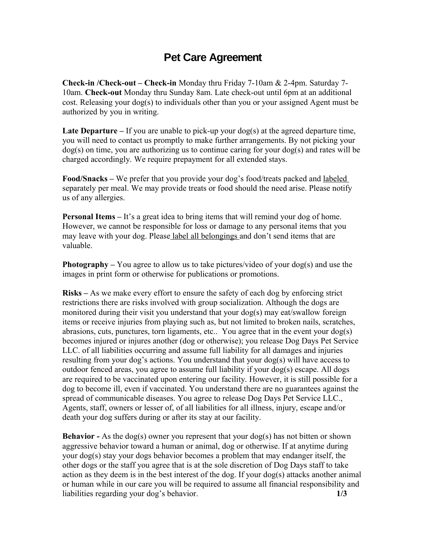## **Pet Care Agreement**

**Check-in /Check-out – Check-in** Monday thru Friday 7-10am & 2-4pm. Saturday 7- 10am. **Check-out** Monday thru Sunday 8am. Late check-out until 6pm at an additional cost. Releasing your dog(s) to individuals other than you or your assigned Agent must be authorized by you in writing.

**Late Departure** – If you are unable to pick-up your  $\text{dog}(s)$  at the agreed departure time, you will need to contact us promptly to make further arrangements. By not picking your dog(s) on time, you are authorizing us to continue caring for your dog(s) and rates will be charged accordingly. We require prepayment for all extended stays.

**Food/Snacks –** We prefer that you provide your dog's food/treats packed and labeled separately per meal. We may provide treats or food should the need arise. Please notify us of any allergies.

**Personal Items** – It's a great idea to bring items that will remind your dog of home. However, we cannot be responsible for loss or damage to any personal items that you may leave with your dog. Please label all belongings and don't send items that are valuable.

**Photography** – You agree to allow us to take pictures/video of your dog(s) and use the images in print form or otherwise for publications or promotions.

**Risks –** As we make every effort to ensure the safety of each dog by enforcing strict restrictions there are risks involved with group socialization. Although the dogs are monitored during their visit you understand that your dog(s) may eat/swallow foreign items or receive injuries from playing such as, but not limited to broken nails, scratches, abrasions, cuts, punctures, torn ligaments, etc.. You agree that in the event your dog(s) becomes injured or injures another (dog or otherwise); you release Dog Days Pet Service LLC. of all liabilities occurring and assume full liability for all damages and injuries resulting from your dog's actions. You understand that your dog(s) will have access to outdoor fenced areas, you agree to assume full liability if your dog(s) escape. All dogs are required to be vaccinated upon entering our facility. However, it is still possible for a dog to become ill, even if vaccinated. You understand there are no guarantees against the spread of communicable diseases. You agree to release Dog Days Pet Service LLC., Agents, staff, owners or lesser of, of all liabilities for all illness, injury, escape and/or death your dog suffers during or after its stay at our facility.

**Behavior** - As the dog(s) owner you represent that your dog(s) has not bitten or shown aggressive behavior toward a human or animal, dog or otherwise. If at anytime during your dog(s) stay your dogs behavior becomes a problem that may endanger itself, the other dogs or the staff you agree that is at the sole discretion of Dog Days staff to take action as they deem is in the best interest of the dog. If your dog(s) attacks another animal or human while in our care you will be required to assume all financial responsibility and liabilities regarding your dog's behavior. **1/3**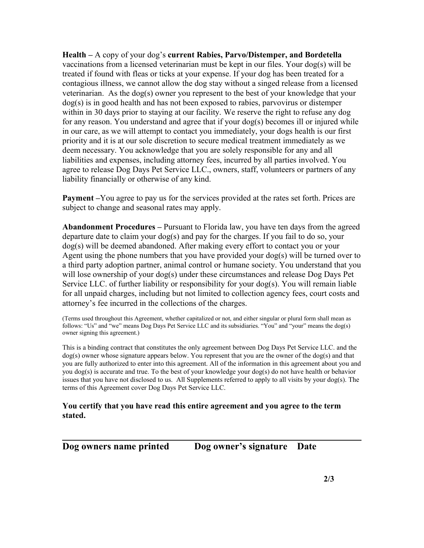**Health –** A copy of your dog's **current Rabies, Parvo/Distemper, and Bordetella** vaccinations from a licensed veterinarian must be kept in our files. Your dog(s) will be treated if found with fleas or ticks at your expense. If your dog has been treated for a contagious illness, we cannot allow the dog stay without a singed release from a licensed veterinarian. As the dog(s) owner you represent to the best of your knowledge that your dog(s) is in good health and has not been exposed to rabies, parvovirus or distemper within in 30 days prior to staying at our facility. We reserve the right to refuse any dog for any reason. You understand and agree that if your dog(s) becomes ill or injured while in our care, as we will attempt to contact you immediately, your dogs health is our first priority and it is at our sole discretion to secure medical treatment immediately as we deem necessary. You acknowledge that you are solely responsible for any and all liabilities and expenses, including attorney fees, incurred by all parties involved. You agree to release Dog Days Pet Service LLC., owners, staff, volunteers or partners of any liability financially or otherwise of any kind.

**Payment –**You agree to pay us for the services provided at the rates set forth. Prices are subject to change and seasonal rates may apply.

**Abandonment Procedures –** Pursuant to Florida law, you have ten days from the agreed departure date to claim your dog(s) and pay for the charges. If you fail to do so, your dog(s) will be deemed abandoned. After making every effort to contact you or your Agent using the phone numbers that you have provided your dog(s) will be turned over to a third party adoption partner, animal control or humane society. You understand that you will lose ownership of your dog(s) under these circumstances and release Dog Days Pet Service LLC. of further liability or responsibility for your dog(s). You will remain liable for all unpaid charges, including but not limited to collection agency fees, court costs and attorney's fee incurred in the collections of the charges.

(Terms used throughout this Agreement, whether capitalized or not, and either singular or plural form shall mean as follows: "Us" and "we" means Dog Days Pet Service LLC and its subsidiaries. "You" and "your" means the dog(s) owner signing this agreement.)

This is a binding contract that constitutes the only agreement between Dog Days Pet Service LLC. and the dog(s) owner whose signature appears below. You represent that you are the owner of the dog(s) and that you are fully authorized to enter into this agreement. All of the information in this agreement about you and you dog(s) is accurate and true. To the best of your knowledge your dog(s) do not have health or behavior issues that you have not disclosed to us. All Supplements referred to apply to all visits by your dog(s). The terms of this Agreement cover Dog Days Pet Service LLC.

## **You certify that you have read this entire agreement and you agree to the term stated.**

**Dog owners name printed Dog owner's signature Date**